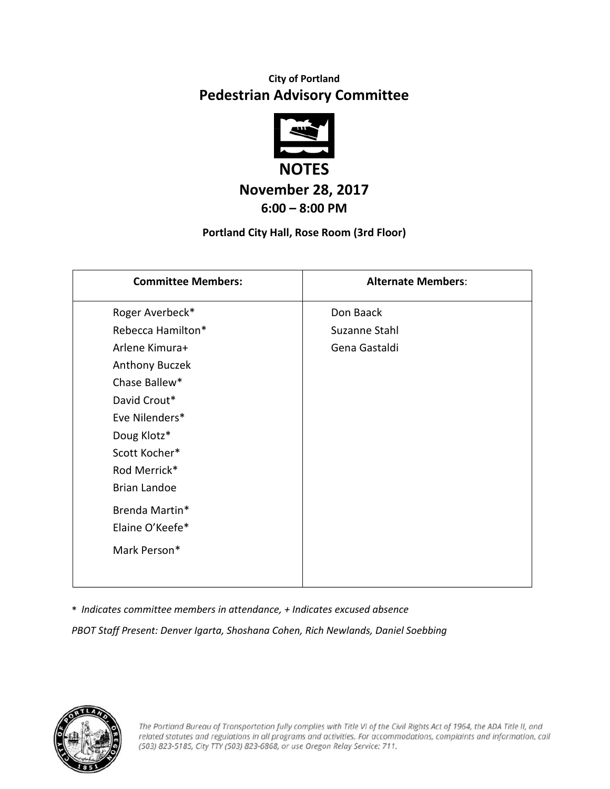## **City of Portland Pedestrian Advisory Committee**



### **November 28, 2017 6:00 – 8:00 PM**

#### **Portland City Hall, Rose Room (3rd Floor)**

| <b>Committee Members:</b> | <b>Alternate Members:</b> |
|---------------------------|---------------------------|
| Roger Averbeck*           | Don Baack                 |
| Rebecca Hamilton*         | Suzanne Stahl             |
| Arlene Kimura+            | Gena Gastaldi             |
| Anthony Buczek            |                           |
| Chase Ballew*             |                           |
| David Crout*              |                           |
| Eve Nilenders*            |                           |
| Doug Klotz*               |                           |
| Scott Kocher*             |                           |
| Rod Merrick*              |                           |
| <b>Brian Landoe</b>       |                           |
| Brenda Martin*            |                           |
| Elaine O'Keefe*           |                           |
| Mark Person*              |                           |
|                           |                           |

\* *Indicates committee members in attendance, + Indicates excused absence*

*PBOT Staff Present: Denver Igarta, Shoshana Cohen, Rich Newlands, Daniel Soebbing*

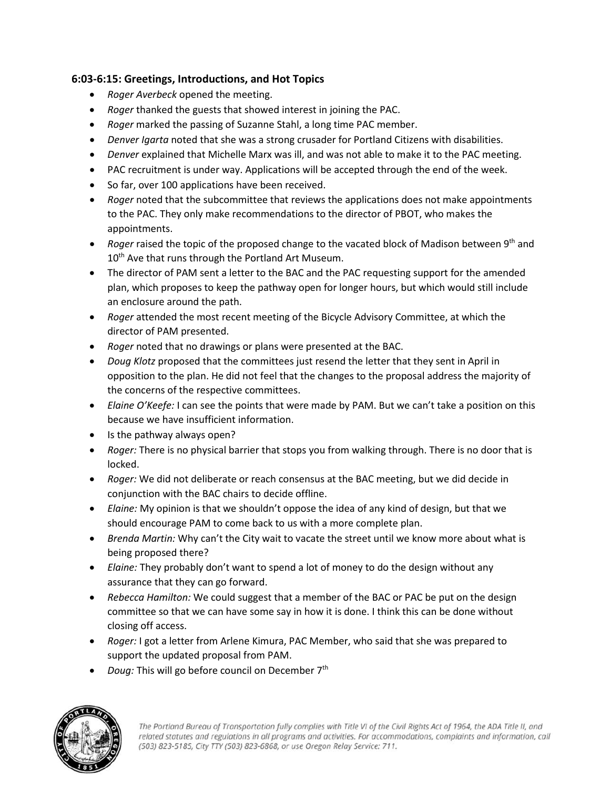#### **6:03-6:15: Greetings, Introductions, and Hot Topics**

- *Roger Averbeck* opened the meeting.
- *Roger* thanked the guests that showed interest in joining the PAC.
- *Roger* marked the passing of Suzanne Stahl, a long time PAC member.
- *Denver Igarta* noted that she was a strong crusader for Portland Citizens with disabilities.
- *Denver* explained that Michelle Marx was ill, and was not able to make it to the PAC meeting.
- PAC recruitment is under way. Applications will be accepted through the end of the week.
- So far, over 100 applications have been received.
- *Roger* noted that the subcommittee that reviews the applications does not make appointments to the PAC. They only make recommendations to the director of PBOT, who makes the appointments.
- *Roger* raised the topic of the proposed change to the vacated block of Madison between 9<sup>th</sup> and 10<sup>th</sup> Ave that runs through the Portland Art Museum.
- The director of PAM sent a letter to the BAC and the PAC requesting support for the amended plan, which proposes to keep the pathway open for longer hours, but which would still include an enclosure around the path.
- *Roger* attended the most recent meeting of the Bicycle Advisory Committee, at which the director of PAM presented.
- *Roger* noted that no drawings or plans were presented at the BAC.
- *Doug Klotz* proposed that the committees just resend the letter that they sent in April in opposition to the plan. He did not feel that the changes to the proposal address the majority of the concerns of the respective committees.
- *Elaine O'Keefe:* I can see the points that were made by PAM. But we can't take a position on this because we have insufficient information.
- Is the pathway always open?
- *Roger:* There is no physical barrier that stops you from walking through. There is no door that is locked.
- *Roger:* We did not deliberate or reach consensus at the BAC meeting, but we did decide in conjunction with the BAC chairs to decide offline.
- *Elaine:* My opinion is that we shouldn't oppose the idea of any kind of design, but that we should encourage PAM to come back to us with a more complete plan.
- *Brenda Martin:* Why can't the City wait to vacate the street until we know more about what is being proposed there?
- *Elaine:* They probably don't want to spend a lot of money to do the design without any assurance that they can go forward.
- *Rebecca Hamilton:* We could suggest that a member of the BAC or PAC be put on the design committee so that we can have some say in how it is done. I think this can be done without closing off access.
- *Roger:* I got a letter from Arlene Kimura, PAC Member, who said that she was prepared to support the updated proposal from PAM.
- *Doug:* This will go before council on December 7<sup>th</sup>

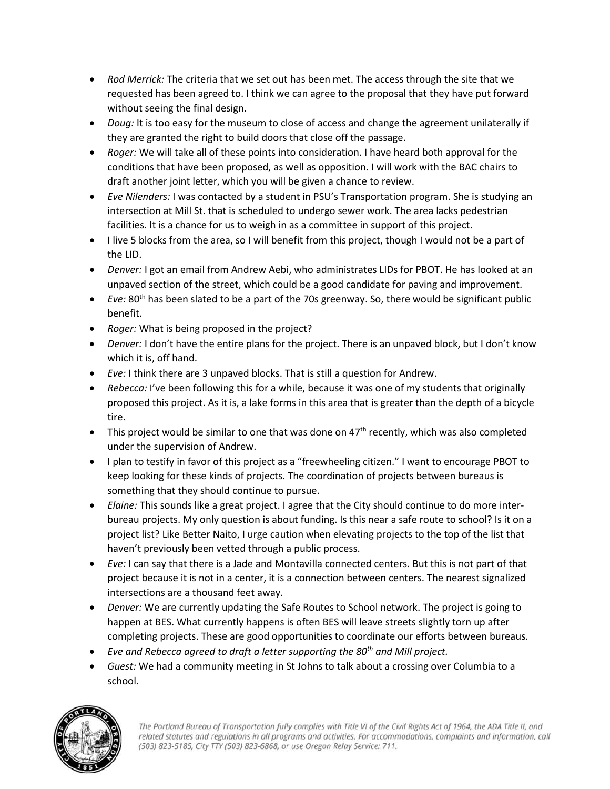- *Rod Merrick:* The criteria that we set out has been met. The access through the site that we requested has been agreed to. I think we can agree to the proposal that they have put forward without seeing the final design.
- *Doug:* It is too easy for the museum to close of access and change the agreement unilaterally if they are granted the right to build doors that close off the passage.
- *Roger:* We will take all of these points into consideration. I have heard both approval for the conditions that have been proposed, as well as opposition. I will work with the BAC chairs to draft another joint letter, which you will be given a chance to review.
- *Eve Nilenders:* I was contacted by a student in PSU's Transportation program. She is studying an intersection at Mill St. that is scheduled to undergo sewer work. The area lacks pedestrian facilities. It is a chance for us to weigh in as a committee in support of this project.
- I live 5 blocks from the area, so I will benefit from this project, though I would not be a part of the LID.
- *Denver:* I got an email from Andrew Aebi, who administrates LIDs for PBOT. He has looked at an unpaved section of the street, which could be a good candidate for paving and improvement.
- $\bullet$  *Eve:* 80<sup>th</sup> has been slated to be a part of the 70s greenway. So, there would be significant public benefit.
- *Roger:* What is being proposed in the project?
- *Denver:* I don't have the entire plans for the project. There is an unpaved block, but I don't know which it is, off hand.
- *Eve:* I think there are 3 unpaved blocks. That is still a question for Andrew.
- *Rebecca:* I've been following this for a while, because it was one of my students that originally proposed this project. As it is, a lake forms in this area that is greater than the depth of a bicycle tire.
- This project would be similar to one that was done on  $47<sup>th</sup>$  recently, which was also completed under the supervision of Andrew.
- I plan to testify in favor of this project as a "freewheeling citizen." I want to encourage PBOT to keep looking for these kinds of projects. The coordination of projects between bureaus is something that they should continue to pursue.
- *Elaine:* This sounds like a great project. I agree that the City should continue to do more interbureau projects. My only question is about funding. Is this near a safe route to school? Is it on a project list? Like Better Naito, I urge caution when elevating projects to the top of the list that haven't previously been vetted through a public process.
- *Eve:* I can say that there is a Jade and Montavilla connected centers. But this is not part of that project because it is not in a center, it is a connection between centers. The nearest signalized intersections are a thousand feet away.
- *Denver:* We are currently updating the Safe Routes to School network. The project is going to happen at BES. What currently happens is often BES will leave streets slightly torn up after completing projects. These are good opportunities to coordinate our efforts between bureaus.
- *Eve and Rebecca agreed to draft a letter supporting the 80th and Mill project.*
- *Guest:* We had a community meeting in St Johns to talk about a crossing over Columbia to a school.

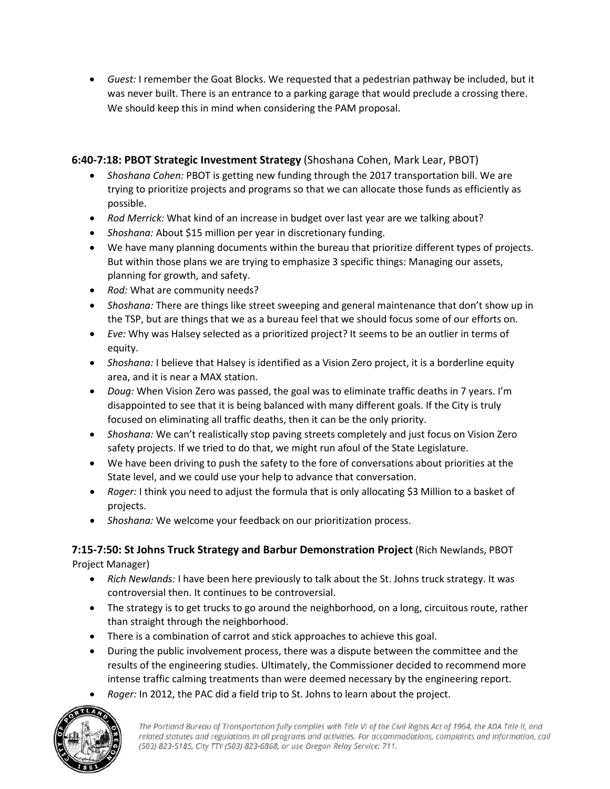• *Guest:* I remember the Goat Blocks. We requested that a pedestrian pathway be included, but it was never built. There is an entrance to a parking garage that would preclude a crossing there. We should keep this in mind when considering the PAM proposal.

#### **6:40-7:18: PBOT Strategic Investment Strategy** (Shoshana Cohen, Mark Lear, PBOT)

- *Shoshana Cohen:* PBOT is getting new funding through the 2017 transportation bill. We are trying to prioritize projects and programs so that we can allocate those funds as efficiently as possible.
- *Rod Merrick:* What kind of an increase in budget over last year are we talking about?
- *Shoshana:* About \$15 million per year in discretionary funding.
- We have many planning documents within the bureau that prioritize different types of projects. But within those plans we are trying to emphasize 3 specific things: Managing our assets, planning for growth, and safety.
- *Rod:* What are community needs?
- *Shoshana:* There are things like street sweeping and general maintenance that don't show up in the TSP, but are things that we as a bureau feel that we should focus some of our efforts on.
- *Eve:* Why was Halsey selected as a prioritized project? It seems to be an outlier in terms of equity.
- *Shoshana:* I believe that Halsey is identified as a Vision Zero project, it is a borderline equity area, and it is near a MAX station.
- *Doug:* When Vision Zero was passed, the goal was to eliminate traffic deaths in 7 years. I'm disappointed to see that it is being balanced with many different goals. If the City is truly focused on eliminating all traffic deaths, then it can be the only priority.
- *Shoshana:* We can't realistically stop paving streets completely and just focus on Vision Zero safety projects. If we tried to do that, we might run afoul of the State Legislature.
- We have been driving to push the safety to the fore of conversations about priorities at the State level, and we could use your help to advance that conversation.
- *Roger:* I think you need to adjust the formula that is only allocating \$3 Million to a basket of projects.
- *Shoshana:* We welcome your feedback on our prioritization process.

# **7:15-7:50: St Johns Truck Strategy and Barbur Demonstration Project** (Rich Newlands, PBOT

Project Manager)

- *Rich Newlands:* I have been here previously to talk about the St. Johns truck strategy. It was controversial then. It continues to be controversial.
- The strategy is to get trucks to go around the neighborhood, on a long, circuitous route, rather than straight through the neighborhood.
- There is a combination of carrot and stick approaches to achieve this goal.
- During the public involvement process, there was a dispute between the committee and the results of the engineering studies. Ultimately, the Commissioner decided to recommend more intense traffic calming treatments than were deemed necessary by the engineering report.
- *Roger:* In 2012, the PAC did a field trip to St. Johns to learn about the project.

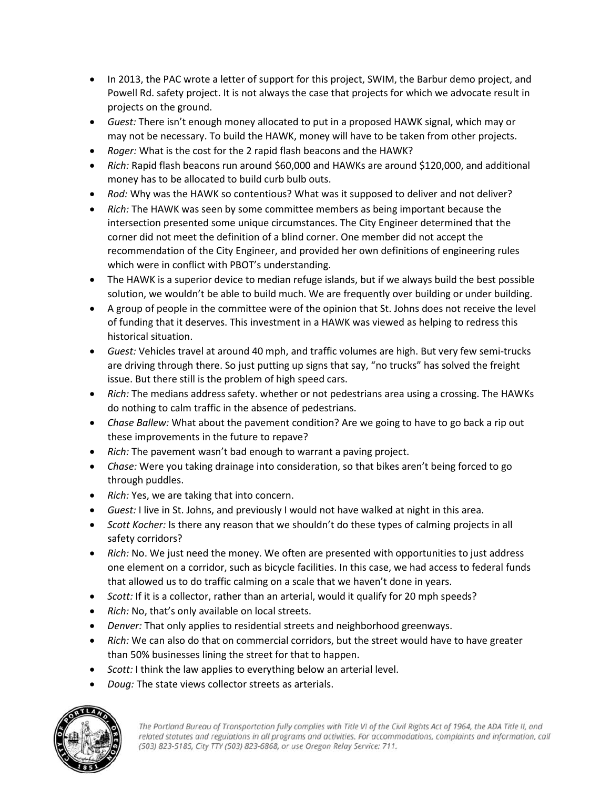- In 2013, the PAC wrote a letter of support for this project, SWIM, the Barbur demo project, and Powell Rd. safety project. It is not always the case that projects for which we advocate result in projects on the ground.
- *Guest:* There isn't enough money allocated to put in a proposed HAWK signal, which may or may not be necessary. To build the HAWK, money will have to be taken from other projects.
- *Roger:* What is the cost for the 2 rapid flash beacons and the HAWK?
- *Rich:* Rapid flash beacons run around \$60,000 and HAWKs are around \$120,000, and additional money has to be allocated to build curb bulb outs.
- *Rod:* Why was the HAWK so contentious? What was it supposed to deliver and not deliver?
- *Rich:* The HAWK was seen by some committee members as being important because the intersection presented some unique circumstances. The City Engineer determined that the corner did not meet the definition of a blind corner. One member did not accept the recommendation of the City Engineer, and provided her own definitions of engineering rules which were in conflict with PBOT's understanding.
- The HAWK is a superior device to median refuge islands, but if we always build the best possible solution, we wouldn't be able to build much. We are frequently over building or under building.
- A group of people in the committee were of the opinion that St. Johns does not receive the level of funding that it deserves. This investment in a HAWK was viewed as helping to redress this historical situation.
- *Guest:* Vehicles travel at around 40 mph, and traffic volumes are high. But very few semi-trucks are driving through there. So just putting up signs that say, "no trucks" has solved the freight issue. But there still is the problem of high speed cars.
- *Rich:* The medians address safety. whether or not pedestrians area using a crossing. The HAWKs do nothing to calm traffic in the absence of pedestrians.
- *Chase Ballew:* What about the pavement condition? Are we going to have to go back a rip out these improvements in the future to repave?
- *Rich:* The pavement wasn't bad enough to warrant a paving project.
- *Chase:* Were you taking drainage into consideration, so that bikes aren't being forced to go through puddles.
- *Rich:* Yes, we are taking that into concern.
- *Guest:* I live in St. Johns, and previously I would not have walked at night in this area.
- *Scott Kocher:* Is there any reason that we shouldn't do these types of calming projects in all safety corridors?
- *Rich:* No. We just need the money. We often are presented with opportunities to just address one element on a corridor, such as bicycle facilities. In this case, we had access to federal funds that allowed us to do traffic calming on a scale that we haven't done in years.
- *Scott:* If it is a collector, rather than an arterial, would it qualify for 20 mph speeds?
- *Rich:* No, that's only available on local streets.
- *Denver:* That only applies to residential streets and neighborhood greenways.
- Rich: We can also do that on commercial corridors, but the street would have to have greater than 50% businesses lining the street for that to happen.
- *Scott:* I think the law applies to everything below an arterial level.
- *Doug:* The state views collector streets as arterials.